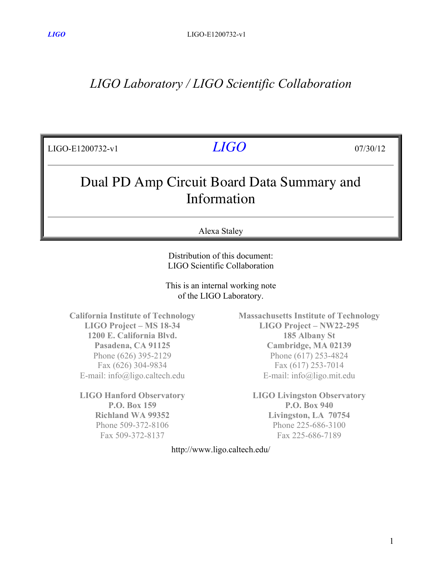# *LIGO Laboratory / LIGO Scientific Collaboration*

| LIGO-E1200732-v1                                          | <i>LIGO</i>  | 07/30/12 |
|-----------------------------------------------------------|--------------|----------|
| Dual PD Amp Circuit Board Data Summary and<br>Information |              |          |
|                                                           | Alexa Staley |          |

Distribution of this document: LIGO Scientific Collaboration

This is an internal working note of the LIGO Laboratory.

**California Institute of Technology LIGO Project – MS 18-34 1200 E. California Blvd. Pasadena, CA 91125** Phone (626) 395-2129 Fax (626) 304-9834 E-mail: info@ligo.caltech.edu

**LIGO Hanford Observatory P.O. Box 159 Richland WA 99352** Phone 509-372-8106 Fax 509-372-8137

**Massachusetts Institute of Technology LIGO Project – NW22-295 185 Albany St Cambridge, MA 02139** Phone (617) 253-4824 Fax (617) 253-7014 E-mail: info@ligo.mit.edu

**LIGO Livingston Observatory P.O. Box 940 Livingston, LA 70754** Phone 225-686-3100 Fax 225-686-7189

http://www.ligo.caltech.edu/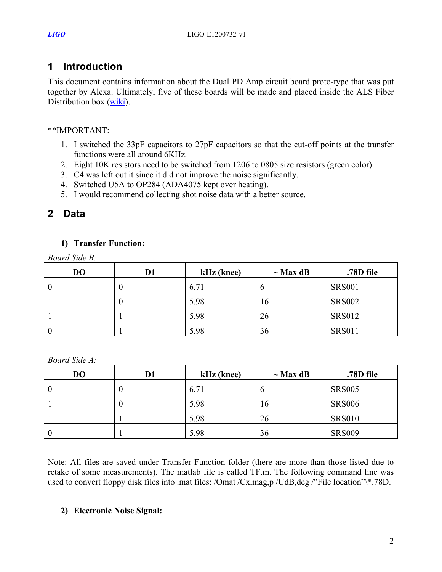## **1 Introduction**

This document contains information about the Dual PD Amp circuit board proto-type that was put together by Alexa. Ultimately, five of these boards will be made and placed inside the ALS Fiber Distribution box (wiki).

### \*\*IMPORTANT:

- 1. I switched the 33pF capacitors to 27pF capacitors so that the cut-off points at the transfer functions were all around 6KHz.
- 2. Eight 10K resistors need to be switched from 1206 to 0805 size resistors (green color).
- 3. C4 was left out it since it did not improve the noise significantly.
- 4. Switched U5A to OP284 (ADA4075 kept over heating).
- 5. I would recommend collecting shot noise data with a better source.

## **2 Data**

### **1) Transfer Function:**

*Board Side B:*

| D <sub>O</sub> | D1 | kHz (knee) | $\sim$ Max dB | .78D file     |
|----------------|----|------------|---------------|---------------|
|                |    | 6.71       | n             | <b>SRS001</b> |
|                |    | 5.98       | 16            | <b>SRS002</b> |
|                |    | 5.98       | 26            | <b>SRS012</b> |
|                |    | 5.98       | 36            | <b>SRS011</b> |

*Board Side A:*

| D <sub>O</sub> | D1 | kHz (knee) | $\sim$ Max dB | .78D file     |
|----------------|----|------------|---------------|---------------|
|                | O  | 6.71       | O             | <b>SRS005</b> |
|                |    | 5.98       | 16            | <b>SRS006</b> |
|                |    | 5.98       | 26            | <b>SRS010</b> |
|                |    | 5.98       | 36            | <b>SRS009</b> |

Note: All files are saved under Transfer Function folder (there are more than those listed due to retake of some measurements). The matlab file is called TF.m. The following command line was used to convert floppy disk files into .mat files: /Omat /Cx,mag,p /UdB,deg /"File location"\\*.78D.

### **2) Electronic Noise Signal:**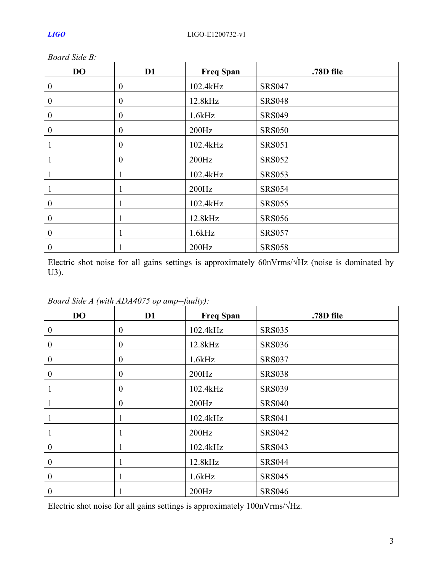| DO               | D <sub>1</sub>   | <b>Freq Span</b> | .78D file     |
|------------------|------------------|------------------|---------------|
| $\boldsymbol{0}$ | $\boldsymbol{0}$ | 102.4kHz         | <b>SRS047</b> |
| $\boldsymbol{0}$ | $\boldsymbol{0}$ | 12.8kHz          | <b>SRS048</b> |
| $\boldsymbol{0}$ | $\boldsymbol{0}$ | 1.6kHz           | <b>SRS049</b> |
| $\theta$         | $\boldsymbol{0}$ | 200Hz            | <b>SRS050</b> |
|                  | $\boldsymbol{0}$ | 102.4kHz         | <b>SRS051</b> |
|                  | $\boldsymbol{0}$ | 200Hz            | <b>SRS052</b> |
|                  |                  | 102.4kHz         | <b>SRS053</b> |
|                  | $\mathbf{1}$     | 200Hz            | <b>SRS054</b> |
| $\boldsymbol{0}$ |                  | 102.4kHz         | <b>SRS055</b> |
| $\boldsymbol{0}$ |                  | 12.8kHz          | <b>SRS056</b> |
| $\overline{0}$   | 1                | 1.6kHz           | <b>SRS057</b> |
| $\boldsymbol{0}$ |                  | 200Hz            | <b>SRS058</b> |

*Board Side B:*

Electric shot noise for all gains settings is approximately 60nVrms/√Hz (noise is dominated by U3).

| DO               | D <sub>1</sub>   | <b>Freq Span</b> | .78D file     |
|------------------|------------------|------------------|---------------|
| $\boldsymbol{0}$ | $\boldsymbol{0}$ | 102.4kHz         | <b>SRS035</b> |
| $\boldsymbol{0}$ | $\boldsymbol{0}$ | 12.8kHz          | <b>SRS036</b> |
| $\boldsymbol{0}$ | $\boldsymbol{0}$ | 1.6kHz           | <b>SRS037</b> |
| $\boldsymbol{0}$ | $\boldsymbol{0}$ | 200Hz            | <b>SRS038</b> |
|                  | $\boldsymbol{0}$ | 102.4kHz         | <b>SRS039</b> |
|                  | $\boldsymbol{0}$ | 200Hz            | <b>SRS040</b> |
|                  | 1                | 102.4kHz         | <b>SRS041</b> |
|                  | 1                | 200Hz            | <b>SRS042</b> |
| $\boldsymbol{0}$ | 1                | 102.4kHz         | <b>SRS043</b> |
| $\boldsymbol{0}$ | 1                | 12.8kHz          | <b>SRS044</b> |
| $\boldsymbol{0}$ |                  | 1.6kHz           | <b>SRS045</b> |
| $\boldsymbol{0}$ |                  | 200Hz            | <b>SRS046</b> |

*Board Side A (with ADA4075 op amp--faulty):*

Electric shot noise for all gains settings is approximately 100nVrms/√Hz.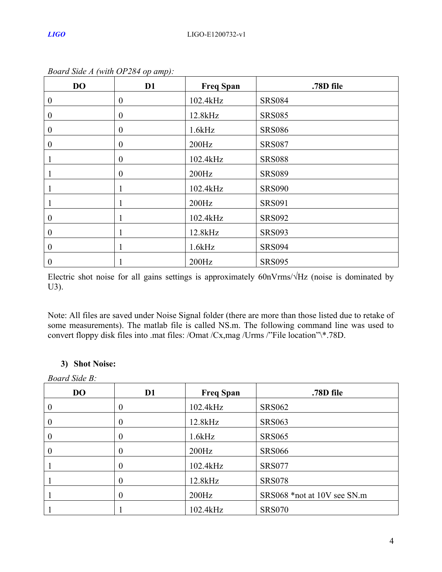| <b>DO</b>        | D <sub>1</sub>   | <b>Freq Span</b> | .78D file     |
|------------------|------------------|------------------|---------------|
| $\boldsymbol{0}$ | $\boldsymbol{0}$ | 102.4kHz         | <b>SRS084</b> |
| $\boldsymbol{0}$ | $\boldsymbol{0}$ | 12.8kHz          | <b>SRS085</b> |
| $\boldsymbol{0}$ | $\boldsymbol{0}$ | 1.6kHz           | <b>SRS086</b> |
| $\boldsymbol{0}$ | $\boldsymbol{0}$ | 200Hz            | <b>SRS087</b> |
|                  | $\boldsymbol{0}$ | 102.4kHz         | <b>SRS088</b> |
|                  | $\boldsymbol{0}$ | 200Hz            | <b>SRS089</b> |
|                  |                  | 102.4kHz         | <b>SRS090</b> |
|                  |                  | 200Hz            | <b>SRS091</b> |
| $\boldsymbol{0}$ |                  | 102.4kHz         | <b>SRS092</b> |
| $\boldsymbol{0}$ |                  | 12.8kHz          | <b>SRS093</b> |
| $\overline{0}$   | -1               | 1.6kHz           | <b>SRS094</b> |
| $\boldsymbol{0}$ |                  | 200Hz            | <b>SRS095</b> |

*Board Side A (with OP284 op amp):*

Electric shot noise for all gains settings is approximately 60nVrms/√Hz (noise is dominated by U3).

Note: All files are saved under Noise Signal folder (there are more than those listed due to retake of some measurements). The matlab file is called NS.m. The following command line was used to convert floppy disk files into .mat files: /Omat /Cx,mag /Urms /"File location"\\*.78D.

### **3) Shot Noise:**

*Board Side B:*

| <b>DO</b> | D <sub>1</sub>   | <b>Freq Span</b> | .78D file                   |
|-----------|------------------|------------------|-----------------------------|
| $\theta$  | $\bf{0}$         | 102.4kHz         | <b>SRS062</b>               |
| $\theta$  | 0                | 12.8kHz          | <b>SRS063</b>               |
| $\theta$  | $\boldsymbol{0}$ | 1.6kHz           | <b>SRS065</b>               |
| $\theta$  | $\theta$         | 200Hz            | <b>SRS066</b>               |
|           | $\theta$         | 102.4kHz         | <b>SRS077</b>               |
|           | $\theta$         | 12.8kHz          | <b>SRS078</b>               |
|           | $\theta$         | 200Hz            | SRS068 *not at 10V see SN.m |
|           |                  | 102.4kHz         | <b>SRS070</b>               |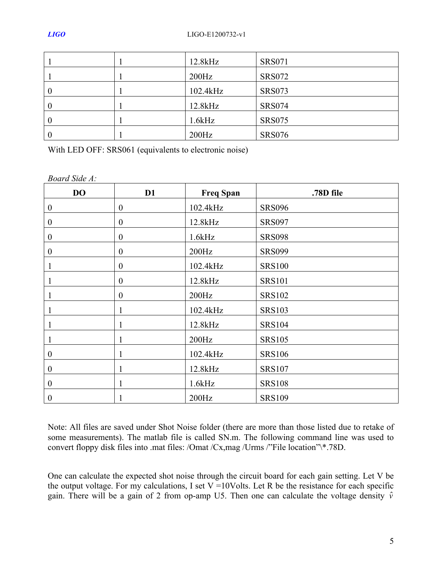|                  | 12.8kHz  | <b>SRS071</b> |
|------------------|----------|---------------|
|                  | 200Hz    | <b>SRS072</b> |
| $\theta$         | 102.4kHz | <b>SRS073</b> |
| $\theta$         | 12.8kHz  | <b>SRS074</b> |
| $\boldsymbol{0}$ | 1.6kHz   | <b>SRS075</b> |
| $\left($         | 200Hz    | <b>SRS076</b> |

With LED OFF: SRS061 (equivalents to electronic noise)

*Board Side A:*

| <b>DO</b>        | D1               | <b>Freq Span</b> | .78D file     |
|------------------|------------------|------------------|---------------|
| $\boldsymbol{0}$ | $\boldsymbol{0}$ | 102.4kHz         | <b>SRS096</b> |
| $\boldsymbol{0}$ | $\mathbf{0}$     | 12.8kHz          | <b>SRS097</b> |
| $\boldsymbol{0}$ | $\boldsymbol{0}$ | 1.6kHz           | <b>SRS098</b> |
| $\boldsymbol{0}$ | $\boldsymbol{0}$ | 200Hz            | <b>SRS099</b> |
|                  | $\boldsymbol{0}$ | 102.4kHz         | <b>SRS100</b> |
|                  | $\boldsymbol{0}$ | 12.8kHz          | <b>SRS101</b> |
|                  | $\boldsymbol{0}$ | 200Hz            | <b>SRS102</b> |
|                  | 1                | 102.4kHz         | <b>SRS103</b> |
|                  | 1                | 12.8kHz          | <b>SRS104</b> |
|                  |                  | 200Hz            | <b>SRS105</b> |
| $\boldsymbol{0}$ | 1                | 102.4kHz         | <b>SRS106</b> |
| $\boldsymbol{0}$ | 1                | 12.8kHz          | <b>SRS107</b> |
| $\boldsymbol{0}$ | 1                | 1.6kHz           | <b>SRS108</b> |
| $\boldsymbol{0}$ |                  | 200Hz            | <b>SRS109</b> |

Note: All files are saved under Shot Noise folder (there are more than those listed due to retake of some measurements). The matlab file is called SN.m. The following command line was used to convert floppy disk files into .mat files: /Omat /Cx,mag /Urms /"File location"\\*.78D.

One can calculate the expected shot noise through the circuit board for each gain setting. Let V be the output voltage. For my calculations, I set  $V = 10$ Volts. Let R be the resistance for each specific gain. There will be a gain of 2 from op-amp U5. Then one can calculate the voltage density  $\hat{v}$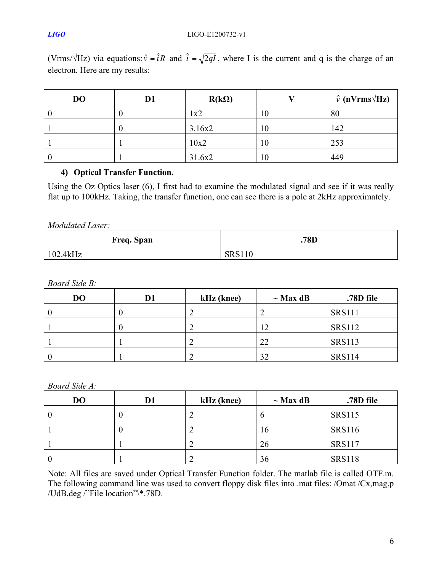### *LIGO* LIGO-E1200732-v1

(Vrms/ $\sqrt{Hz}$ ) via equations:  $\hat{v} = \hat{i}R$  and  $\hat{i} = \sqrt{2qI}$ , where I is the current and q is the charge of an electron. Here are my results:

| <b>DO</b> | D1 | $R(k\Omega)$ |    | $\hat{v}$ (nVrms $\sqrt{Hz}$ ) |
|-----------|----|--------------|----|--------------------------------|
|           |    | 1x2          | 10 | 80                             |
|           |    | 3.16x2       | 10 | 142                            |
|           |    | 10x2         | 10 | 253                            |
| $\theta$  |    | 31.6x2       | 10 | 449                            |

### **4) Optical Transfer Function.**

Using the Oz Optics laser (6), I first had to examine the modulated signal and see if it was really flat up to 100kHz. Taking, the transfer function, one can see there is a pole at 2kHz approximately.

| Modulated Laser: |
|------------------|
|                  |

| Freq. Span | .78D          |
|------------|---------------|
| 102.4kHz   | <b>SRS110</b> |

*Board Side B:*

| D <sub>O</sub> | D1 | kHz (knee) | $\sim$ Max dB | .78D file     |
|----------------|----|------------|---------------|---------------|
| $\left($       | U  |            |               | <b>SRS111</b> |
|                |    |            | 12            | <b>SRS112</b> |
|                |    |            | 22            | <b>SRS113</b> |
|                |    |            | 32            | <b>SRS114</b> |

*Board Side A:*

| D <sub>O</sub> | D1 | kHz (knee) | $\sim$ Max dB | .78D file     |
|----------------|----|------------|---------------|---------------|
|                |    |            | O             | <b>SRS115</b> |
|                |    |            | 16            | <b>SRS116</b> |
|                |    |            | 26            | <b>SRS117</b> |
|                |    |            | 36            | <b>SRS118</b> |

Note: All files are saved under Optical Transfer Function folder. The matlab file is called OTF.m. The following command line was used to convert floppy disk files into .mat files: /Omat /Cx,mag,p /UdB,deg /"File location"\\*.78D.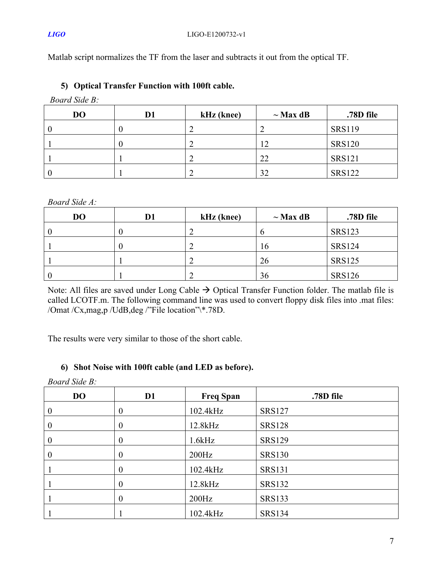Matlab script normalizes the TF from the laser and subtracts it out from the optical TF.

**5) Optical Transfer Function with 100ft cable.**

*Board Side B:*

| D <sub>O</sub> | D1 | kHz (knee) | $\sim$ Max dB | .78D file     |
|----------------|----|------------|---------------|---------------|
|                |    |            | ∽             | <b>SRS119</b> |
|                |    |            |               | <b>SRS120</b> |
|                |    |            | 22            | <b>SRS121</b> |
|                |    |            | 32            | <b>SRS122</b> |

### *Board Side A:*

| D <sub>O</sub> | D1 | kHz (knee) | $\sim$ Max dB | .78D file     |
|----------------|----|------------|---------------|---------------|
|                | υ  |            | v             | <b>SRS123</b> |
|                |    |            | 16            | <b>SRS124</b> |
|                |    |            | 26            | <b>SRS125</b> |
|                |    |            | 36            | <b>SRS126</b> |

Note: All files are saved under Long Cable  $\rightarrow$  Optical Transfer Function folder. The matlab file is called LCOTF.m. The following command line was used to convert floppy disk files into .mat files: /Omat /Cx,mag,p /UdB,deg /"File location"\\*.78D.

The results were very similar to those of the short cable.

### **6) Shot Noise with 100ft cable (and LED as before).**

| <b>Board Side B:</b> |                  |                  |               |  |
|----------------------|------------------|------------------|---------------|--|
| <b>DO</b>            | D <sub>1</sub>   | <b>Freq Span</b> | .78D file     |  |
| $\theta$             | $\boldsymbol{0}$ | 102.4kHz         | <b>SRS127</b> |  |
| $\overline{0}$       | $\boldsymbol{0}$ | 12.8kHz          | <b>SRS128</b> |  |
| $\overline{0}$       | $\boldsymbol{0}$ | 1.6kHz           | <b>SRS129</b> |  |
| $\theta$             | $\boldsymbol{0}$ | $200\text{Hz}$   | <b>SRS130</b> |  |
|                      | $\boldsymbol{0}$ | 102.4kHz         | <b>SRS131</b> |  |
|                      | $\boldsymbol{0}$ | 12.8kHz          | <b>SRS132</b> |  |
|                      | $\boldsymbol{0}$ | $200\text{Hz}$   | <b>SRS133</b> |  |
|                      |                  | 102.4kHz         | <b>SRS134</b> |  |